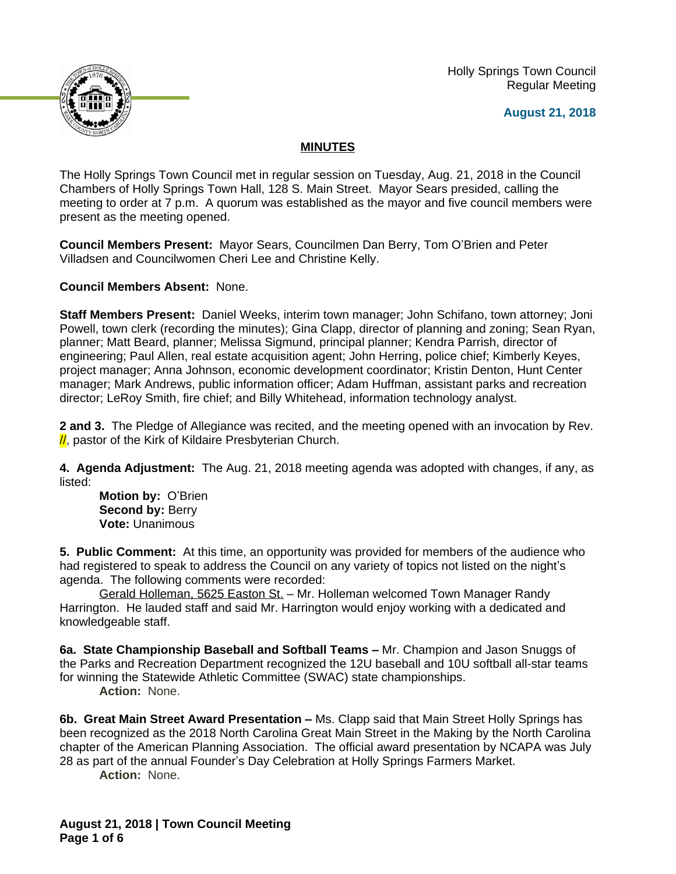Holly Springs Town Council Regular Meeting





## **MINUTES**

The Holly Springs Town Council met in regular session on Tuesday, Aug. 21, 2018 in the Council Chambers of Holly Springs Town Hall, 128 S. Main Street. Mayor Sears presided, calling the meeting to order at 7 p.m. A quorum was established as the mayor and five council members were present as the meeting opened.

**Council Members Present:** Mayor Sears, Councilmen Dan Berry, Tom O'Brien and Peter Villadsen and Councilwomen Cheri Lee and Christine Kelly.

**Council Members Absent:** None.

**Staff Members Present:** Daniel Weeks, interim town manager; John Schifano, town attorney; Joni Powell, town clerk (recording the minutes); Gina Clapp, director of planning and zoning; Sean Ryan, planner; Matt Beard, planner; Melissa Sigmund, principal planner; Kendra Parrish, director of engineering; Paul Allen, real estate acquisition agent; John Herring, police chief; Kimberly Keyes, project manager; Anna Johnson, economic development coordinator; Kristin Denton, Hunt Center manager; Mark Andrews, public information officer; Adam Huffman, assistant parks and recreation director; LeRoy Smith, fire chief; and Billy Whitehead, information technology analyst.

**2 and 3.** The Pledge of Allegiance was recited, and the meeting opened with an invocation by Rev.  $\frac{1}{1}$ , pastor of the Kirk of Kildaire Presbyterian Church.

**4. Agenda Adjustment:** The Aug. 21, 2018 meeting agenda was adopted with changes, if any, as listed:

**Motion by:** O'Brien Second by: Berry **Vote:** Unanimous

**5. Public Comment:** At this time, an opportunity was provided for members of the audience who had registered to speak to address the Council on any variety of topics not listed on the night's agenda. The following comments were recorded:

Gerald Holleman, 5625 Easton St. – Mr. Holleman welcomed Town Manager Randy Harrington. He lauded staff and said Mr. Harrington would enjoy working with a dedicated and knowledgeable staff.

**6a. State Championship Baseball and Softball Teams –** Mr. Champion and Jason Snuggs of the Parks and Recreation Department recognized the 12U baseball and 10U softball all-star teams for winning the Statewide Athletic Committee (SWAC) state championships.

**Action:** None.

**6b. Great Main Street Award Presentation –** Ms. Clapp said that Main Street Holly Springs has been recognized as the 2018 North Carolina Great Main Street in the Making by the North Carolina chapter of the American Planning Association. The official award presentation by NCAPA was July 28 as part of the annual Founder's Day Celebration at Holly Springs Farmers Market.

**Action:** None.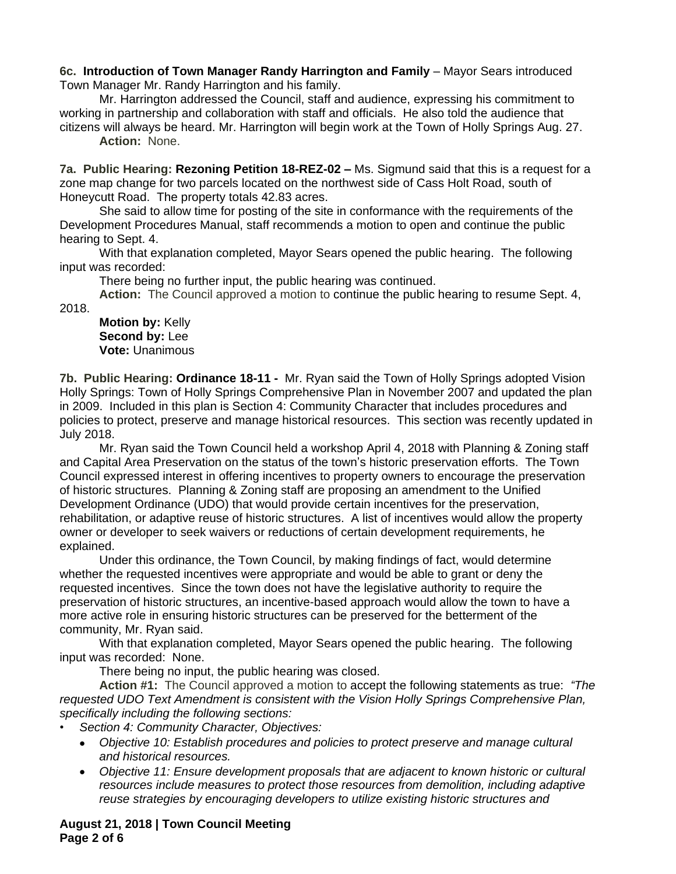## 6c. Introduction of Town Manager Randy Harrington and Family - Mayor Sears introduced Town Manager Mr. Randy Harrington and his family.

Mr. Harrington addressed the Council, staff and audience, expressing his commitment to working in partnership and collaboration with staff and officials. He also told the audience that citizens will always be heard. Mr. Harrington will begin work at the Town of Holly Springs Aug. 27.

**Action:** None.

**7a. Public Hearing: Rezoning Petition 18-REZ-02 – Ms. Sigmund said that this is a request for a** zone map change for two parcels located on the northwest side of Cass Holt Road, south of Honeycutt Road. The property totals 42.83 acres.

She said to allow time for posting of the site in conformance with the requirements of the Development Procedures Manual, staff recommends a motion to open and continue the public hearing to Sept. 4.

With that explanation completed, Mayor Sears opened the public hearing. The following input was recorded:

There being no further input, the public hearing was continued.

**Action:** The Council approved a motion to continue the public hearing to resume Sept. 4, 2018.

## **Motion by:** Kelly **Second by:** Lee **Vote:** Unanimous

**7b. Public Hearing: Ordinance 18-11 -** Mr. Ryan said the Town of Holly Springs adopted Vision Holly Springs: Town of Holly Springs Comprehensive Plan in November 2007 and updated the plan in 2009. Included in this plan is Section 4: Community Character that includes procedures and policies to protect, preserve and manage historical resources. This section was recently updated in July 2018.

Mr. Ryan said the Town Council held a workshop April 4, 2018 with Planning & Zoning staff and Capital Area Preservation on the status of the town's historic preservation efforts. The Town Council expressed interest in offering incentives to property owners to encourage the preservation of historic structures. Planning & Zoning staff are proposing an amendment to the Unified Development Ordinance (UDO) that would provide certain incentives for the preservation, rehabilitation, or adaptive reuse of historic structures. A list of incentives would allow the property owner or developer to seek waivers or reductions of certain development requirements, he explained.

Under this ordinance, the Town Council, by making findings of fact, would determine whether the requested incentives were appropriate and would be able to grant or deny the requested incentives. Since the town does not have the legislative authority to require the preservation of historic structures, an incentive-based approach would allow the town to have a more active role in ensuring historic structures can be preserved for the betterment of the community, Mr. Ryan said.

With that explanation completed, Mayor Sears opened the public hearing. The following input was recorded: None.

There being no input, the public hearing was closed.

**Action #1:** The Council approved a motion to accept the following statements as true: *"The requested UDO Text Amendment is consistent with the Vision Holly Springs Comprehensive Plan, specifically including the following sections:* 

- *• Section 4: Community Character, Objectives:*
	- *Objective 10: Establish procedures and policies to protect preserve and manage cultural and historical resources.*
	- *Objective 11: Ensure development proposals that are adjacent to known historic or cultural resources include measures to protect those resources from demolition, including adaptive reuse strategies by encouraging developers to utilize existing historic structures and*

**August 21, 2018 | Town Council Meeting Page 2 of 6**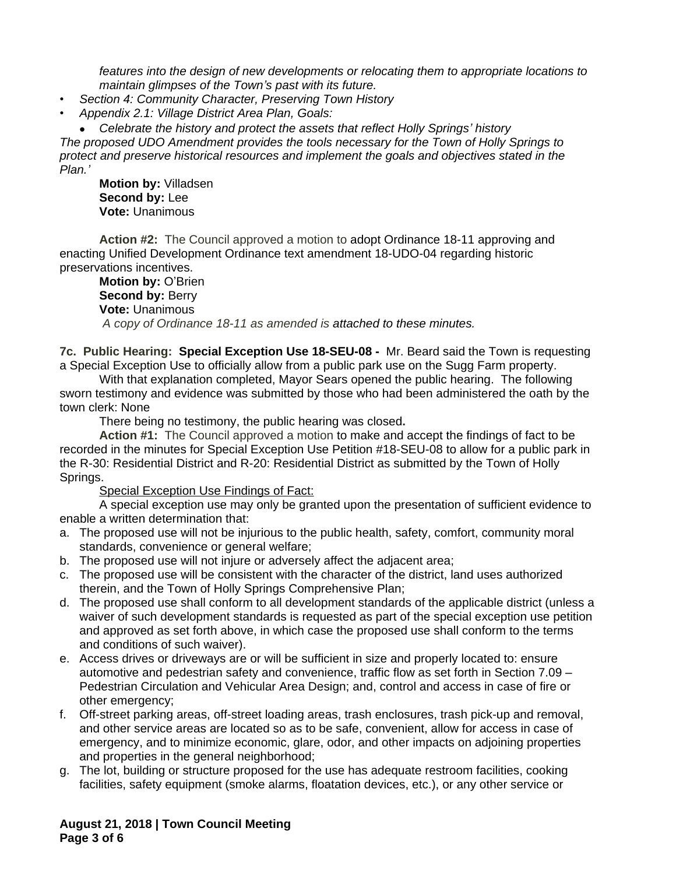*features into the design of new developments or relocating them to appropriate locations to maintain glimpses of the Town's past with its future.*

*• Section 4: Community Character, Preserving Town History*

*• Appendix 2.1: Village District Area Plan, Goals:*

*Celebrate the history and protect the assets that reflect Holly Springs' history*

*The proposed UDO Amendment provides the tools necessary for the Town of Holly Springs to protect and preserve historical resources and implement the goals and objectives stated in the Plan.'*

**Motion by:** Villadsen **Second by:** Lee **Vote:** Unanimous

**Action #2:** The Council approved a motion to adopt Ordinance 18-11 approving and enacting Unified Development Ordinance text amendment 18-UDO-04 regarding historic preservations incentives.

**Motion by:** O'Brien **Second by: Berry Vote:** Unanimous *A copy of Ordinance 18-11 as amended is attached to these minutes.*

**7c. Public Hearing: Special Exception Use 18-SEU-08 -** Mr. Beard said the Town is requesting a Special Exception Use to officially allow from a public park use on the Sugg Farm property.

With that explanation completed, Mayor Sears opened the public hearing. The following sworn testimony and evidence was submitted by those who had been administered the oath by the town clerk: None

There being no testimony, the public hearing was closed**.**

**Action #1:** The Council approved a motion to make and accept the findings of fact to be recorded in the minutes for Special Exception Use Petition #18-SEU-08 to allow for a public park in the R-30: Residential District and R-20: Residential District as submitted by the Town of Holly Springs.

Special Exception Use Findings of Fact:

A special exception use may only be granted upon the presentation of sufficient evidence to enable a written determination that:

- a. The proposed use will not be injurious to the public health, safety, comfort, community moral standards, convenience or general welfare;
- b. The proposed use will not injure or adversely affect the adjacent area;
- c. The proposed use will be consistent with the character of the district, land uses authorized therein, and the Town of Holly Springs Comprehensive Plan;
- d. The proposed use shall conform to all development standards of the applicable district (unless a waiver of such development standards is requested as part of the special exception use petition and approved as set forth above, in which case the proposed use shall conform to the terms and conditions of such waiver).
- e. Access drives or driveways are or will be sufficient in size and properly located to: ensure automotive and pedestrian safety and convenience, traffic flow as set forth in Section 7.09 – Pedestrian Circulation and Vehicular Area Design; and, control and access in case of fire or other emergency;
- f. Off-street parking areas, off-street loading areas, trash enclosures, trash pick-up and removal, and other service areas are located so as to be safe, convenient, allow for access in case of emergency, and to minimize economic, glare, odor, and other impacts on adjoining properties and properties in the general neighborhood;
- g. The lot, building or structure proposed for the use has adequate restroom facilities, cooking facilities, safety equipment (smoke alarms, floatation devices, etc.), or any other service or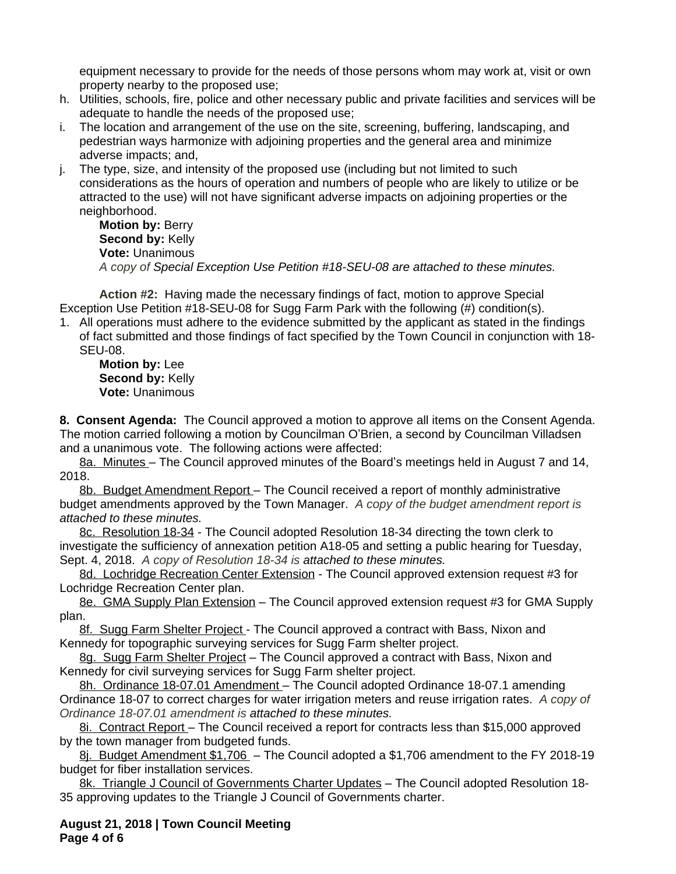equipment necessary to provide for the needs of those persons whom may work at, visit or own property nearby to the proposed use;

- h. Utilities, schools, fire, police and other necessary public and private facilities and services will be adequate to handle the needs of the proposed use;
- i. The location and arrangement of the use on the site, screening, buffering, landscaping, and pedestrian ways harmonize with adjoining properties and the general area and minimize adverse impacts; and,
- j. The type, size, and intensity of the proposed use (including but not limited to such considerations as the hours of operation and numbers of people who are likely to utilize or be attracted to the use) will not have significant adverse impacts on adjoining properties or the neighborhood.

**Motion by:** Berry **Second by:** Kelly **Vote:** Unanimous *A copy of Special Exception Use Petition #18-SEU-08 are attached to these minutes.*

**Action #2:** Having made the necessary findings of fact, motion to approve Special Exception Use Petition #18-SEU-08 for Sugg Farm Park with the following (#) condition(s).

1. All operations must adhere to the evidence submitted by the applicant as stated in the findings of fact submitted and those findings of fact specified by the Town Council in conjunction with 18- SEU-08.

**Motion by:** Lee Second by: Kelly **Vote:** Unanimous

**8. Consent Agenda:** The Council approved a motion to approve all items on the Consent Agenda. The motion carried following a motion by Councilman O'Brien, a second by Councilman Villadsen and a unanimous vote. The following actions were affected:

8a. Minutes – The Council approved minutes of the Board's meetings held in August 7 and 14, 2018.

8b. Budget Amendment Report – The Council received a report of monthly administrative budget amendments approved by the Town Manager. *A copy of the budget amendment report is attached to these minutes.*

8c. Resolution 18-34 - The Council adopted Resolution 18-34 directing the town clerk to investigate the sufficiency of annexation petition A18-05 and setting a public hearing for Tuesday, Sept. 4, 2018. *A copy of Resolution 18-34 is attached to these minutes.*

8d. Lochridge Recreation Center Extension - The Council approved extension request #3 for Lochridge Recreation Center plan.

8e. GMA Supply Plan Extension – The Council approved extension request #3 for GMA Supply plan.

8f. Sugg Farm Shelter Project - The Council approved a contract with Bass, Nixon and Kennedy for topographic surveying services for Sugg Farm shelter project.

8g. Sugg Farm Shelter Project – The Council approved a contract with Bass, Nixon and Kennedy for civil surveying services for Sugg Farm shelter project.

8h. Ordinance 18-07.01 Amendment - The Council adopted Ordinance 18-07.1 amending Ordinance 18-07 to correct charges for water irrigation meters and reuse irrigation rates. *A copy of Ordinance 18-07.01 amendment is attached to these minutes.*

8i. Contract Report - The Council received a report for contracts less than \$15,000 approved by the town manager from budgeted funds.

8j. Budget Amendment \$1,706 – The Council adopted a \$1,706 amendment to the FY 2018-19 budget for fiber installation services.

8k. Triangle J Council of Governments Charter Updates – The Council adopted Resolution 18- 35 approving updates to the Triangle J Council of Governments charter.

**August 21, 2018 | Town Council Meeting Page 4 of 6**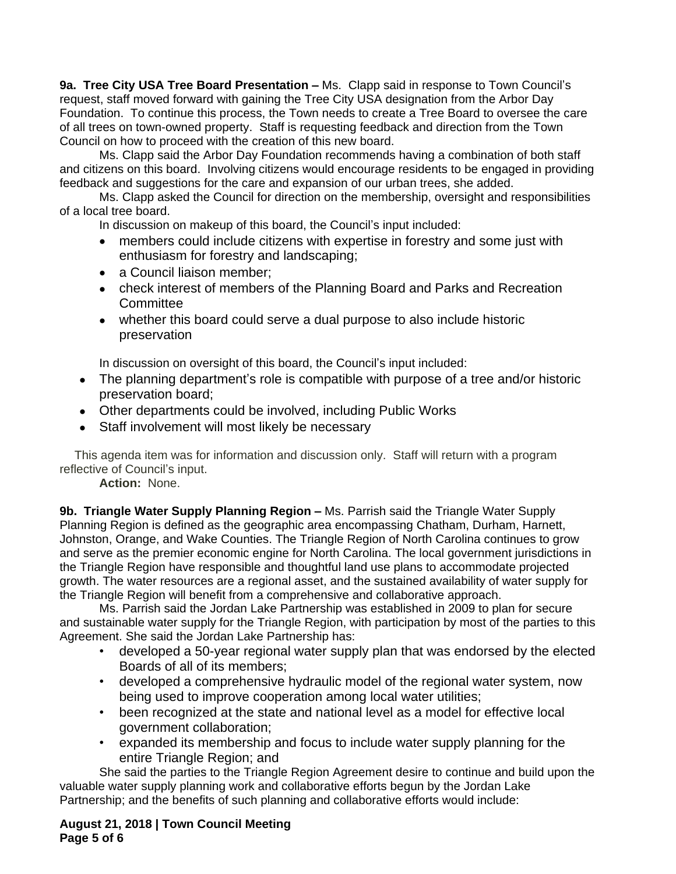**9a. Tree City USA Tree Board Presentation –** Ms. Clapp said in response to Town Council's request, staff moved forward with gaining the Tree City USA designation from the Arbor Day Foundation. To continue this process, the Town needs to create a Tree Board to oversee the care of all trees on town-owned property. Staff is requesting feedback and direction from the Town Council on how to proceed with the creation of this new board.

Ms. Clapp said the Arbor Day Foundation recommends having a combination of both staff and citizens on this board. Involving citizens would encourage residents to be engaged in providing feedback and suggestions for the care and expansion of our urban trees, she added.

Ms. Clapp asked the Council for direction on the membership, oversight and responsibilities of a local tree board.

In discussion on makeup of this board, the Council's input included:

- members could include citizens with expertise in forestry and some just with enthusiasm for forestry and landscaping;
- a Council liaison member;
- check interest of members of the Planning Board and Parks and Recreation **Committee**
- whether this board could serve a dual purpose to also include historic preservation

In discussion on oversight of this board, the Council's input included:

- The planning department's role is compatible with purpose of a tree and/or historic preservation board;
- Other departments could be involved, including Public Works
- Staff involvement will most likely be necessary

This agenda item was for information and discussion only. Staff will return with a program reflective of Council's input.

**Action:** None.

**9b. Triangle Water Supply Planning Region – Ms. Parrish said the Triangle Water Supply** Planning Region is defined as the geographic area encompassing Chatham, Durham, Harnett, Johnston, Orange, and Wake Counties. The Triangle Region of North Carolina continues to grow and serve as the premier economic engine for North Carolina. The local government jurisdictions in the Triangle Region have responsible and thoughtful land use plans to accommodate projected growth. The water resources are a regional asset, and the sustained availability of water supply for the Triangle Region will benefit from a comprehensive and collaborative approach.

Ms. Parrish said the Jordan Lake Partnership was established in 2009 to plan for secure and sustainable water supply for the Triangle Region, with participation by most of the parties to this Agreement. She said the Jordan Lake Partnership has:

- developed a 50-year regional water supply plan that was endorsed by the elected Boards of all of its members;
- developed a comprehensive hydraulic model of the regional water system, now being used to improve cooperation among local water utilities;
- been recognized at the state and national level as a model for effective local government collaboration;
- expanded its membership and focus to include water supply planning for the entire Triangle Region; and

She said the parties to the Triangle Region Agreement desire to continue and build upon the valuable water supply planning work and collaborative efforts begun by the Jordan Lake Partnership; and the benefits of such planning and collaborative efforts would include:

**August 21, 2018 | Town Council Meeting Page 5 of 6**